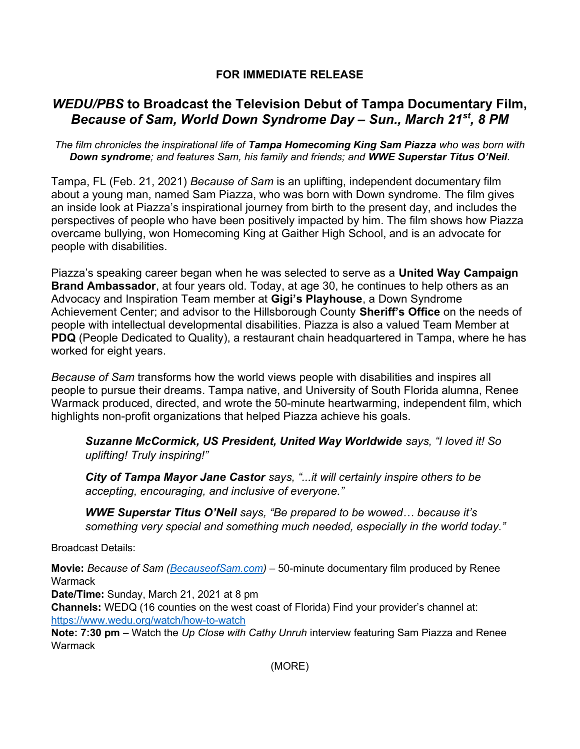## FOR IMMEDIATE RELEASE

## WEDU/PBS to Broadcast the Television Debut of Tampa Documentary Film, Because of Sam, World Down Syndrome Day - Sun., March 21<sup>st</sup>, 8 PM

The film chronicles the inspirational life of Tampa Homecoming King Sam Piazza who was born with Down syndrome; and features Sam, his family and friends; and WWE Superstar Titus O'Neil.

Tampa, FL (Feb. 21, 2021) Because of Sam is an uplifting, independent documentary film about a young man, named Sam Piazza, who was born with Down syndrome. The film gives an inside look at Piazza's inspirational journey from birth to the present day, and includes the perspectives of people who have been positively impacted by him. The film shows how Piazza overcame bullying, won Homecoming King at Gaither High School, and is an advocate for people with disabilities.

Piazza's speaking career began when he was selected to serve as a **United Way Campaign** Brand Ambassador, at four years old. Today, at age 30, he continues to help others as an Advocacy and Inspiration Team member at Gigi's Playhouse, a Down Syndrome Achievement Center; and advisor to the Hillsborough County Sheriff's Office on the needs of people with intellectual developmental disabilities. Piazza is also a valued Team Member at PDQ (People Dedicated to Quality), a restaurant chain headquartered in Tampa, where he has worked for eight years.

Because of Sam transforms how the world views people with disabilities and inspires all people to pursue their dreams. Tampa native, and University of South Florida alumna, Renee Warmack produced, directed, and wrote the 50-minute heartwarming, independent film, which highlights non-profit organizations that helped Piazza achieve his goals.

Suzanne McCormick, US President, United Way Worldwide says, "I loved it! So uplifting! Truly inspiring!"

City of Tampa Mayor Jane Castor says, "...it will certainly inspire others to be accepting, encouraging, and inclusive of everyone."

WWE Superstar Titus O'Neil says, "Be prepared to be wowed… because it's something very special and something much needed, especially in the world today."

Broadcast Details:

Movie: Because of Sam (BecauseofSam.com) – 50-minute documentary film produced by Renee **Warmack** 

Date/Time: Sunday, March 21, 2021 at 8 pm

Channels: WEDQ (16 counties on the west coast of Florida) Find your provider's channel at: https://www.wedu.org/watch/how-to-watch

Note: 7:30 pm – Watch the Up Close with Cathy Unruh interview featuring Sam Piazza and Renee **Warmack** 

(MORE)